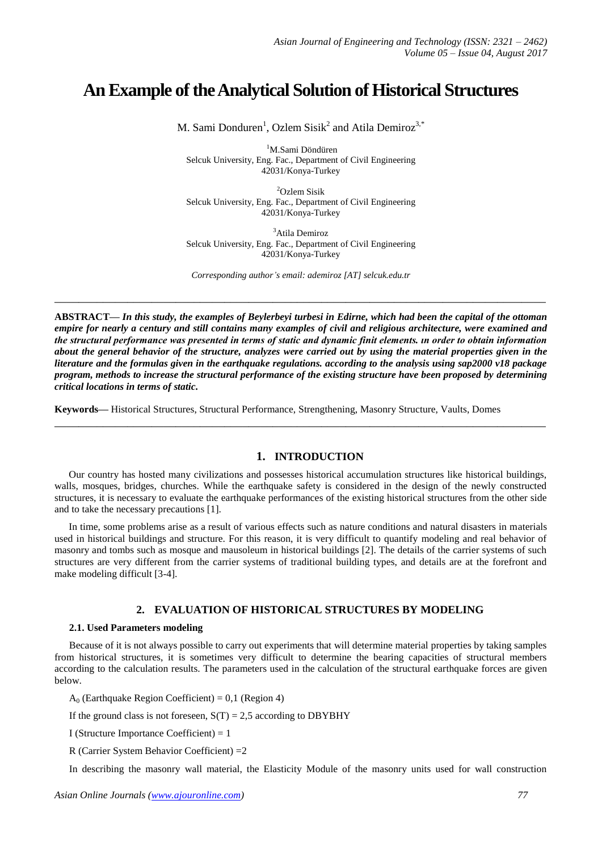# **An Example of theAnalytical Solution of Historical Structures**

M. Sami Donduren<sup>1</sup>, Ozlem Sisik<sup>2</sup> and Atila Demiroz<sup>3,\*</sup>

<sup>1</sup>M.Sami Döndüren Selcuk University, Eng. Fac., Department of Civil Engineering 42031/Konya-Turkey

<sup>2</sup>Ozlem Sisik Selcuk University, Eng. Fac., Department of Civil Engineering 42031/Konya-Turkey

<sup>3</sup>Atila Demiroz Selcuk University, Eng. Fac., Department of Civil Engineering 42031/Konya-Turkey

*Corresponding author's email: ademiroz [AT] selcuk.edu.tr*

**\_\_\_\_\_\_\_\_\_\_\_\_\_\_\_\_\_\_\_\_\_\_\_\_\_\_\_\_\_\_\_\_\_\_\_\_\_\_\_\_\_\_\_\_\_\_\_\_\_\_\_\_\_\_\_\_\_\_\_\_\_\_\_\_\_\_\_\_\_\_\_\_\_\_\_\_\_\_\_\_\_**

**ABSTRACT—** *In this study, the examples of Beylerbeyi turbesi in Edirne, which had been the capital of the ottoman empire for nearly a century and still contains many examples of civil and religious architecture, were examined and the structural performance was presented in terms of static and dynamic finit elements. ın order to obtain information about the general behavior of the structure, analyzes were carried out by using the material properties given in the literature and the formulas given in the earthquake regulations. according to the analysis using sap2000 v18 package program, methods to increase the structural performance of the existing structure have been proposed by determining critical locations in terms of static.*

**Keywords—** Historical Structures, Structural Performance, Strengthening, Masonry Structure, Vaults, Domes

# **1. INTRODUCTION**

Our country has hosted many civilizations and possesses historical accumulation structures like historical buildings, walls, mosques, bridges, churches. While the earthquake safety is considered in the design of the newly constructed structures, it is necessary to evaluate the earthquake performances of the existing historical structures from the other side and to take the necessary precautions [1].

**\_\_\_\_\_\_\_\_\_\_\_\_\_\_\_\_\_\_\_\_\_\_\_\_\_\_\_\_\_\_\_\_\_\_\_\_\_\_\_\_\_\_\_\_\_\_\_\_\_\_\_\_\_\_\_\_\_\_\_\_\_\_\_\_\_\_\_\_\_\_\_\_\_\_\_\_\_\_\_\_\_**

In time, some problems arise as a result of various effects such as nature conditions and natural disasters in materials used in historical buildings and structure. For this reason, it is very difficult to quantify modeling and real behavior of masonry and tombs such as mosque and mausoleum in historical buildings [2]. The details of the carrier systems of such structures are very different from the carrier systems of traditional building types, and details are at the forefront and make modeling difficult [3-4].

# **2. EVALUATION OF HISTORICAL STRUCTURES BY MODELING**

#### **2.1. Used Parameters modeling**

Because of it is not always possible to carry out experiments that will determine material properties by taking samples from historical structures, it is sometimes very difficult to determine the bearing capacities of structural members according to the calculation results. The parameters used in the calculation of the structural earthquake forces are given below.

 $A_0$  (Earthquake Region Coefficient) = 0,1 (Region 4)

If the ground class is not foreseen,  $S(T) = 2.5$  according to DBYBHY

I (Structure Importance Coefficient) = 1

R (Carrier System Behavior Coefficient) =2

In describing the masonry wall material, the Elasticity Module of the masonry units used for wall construction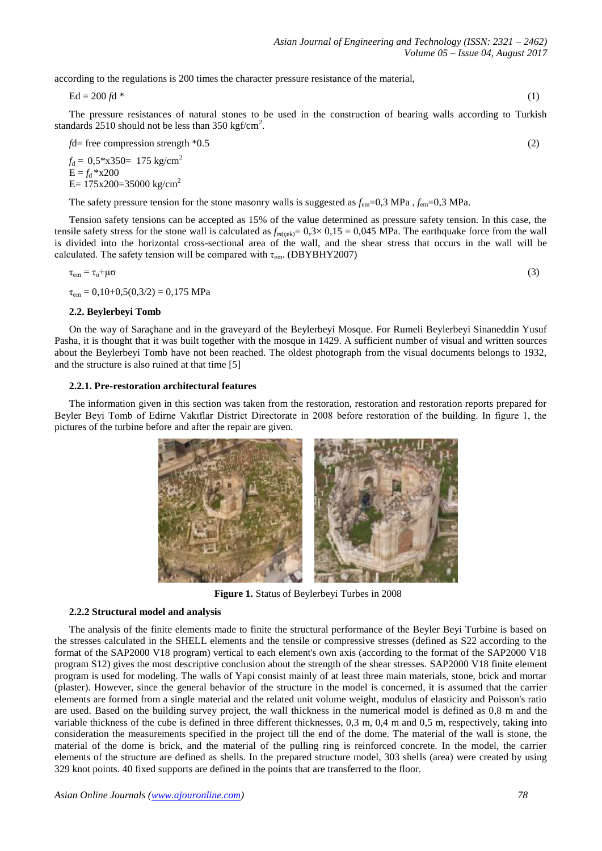according to the regulations is 200 times the character pressure resistance of the material,

 $Ed = 200 f d$  \* (1)

The pressure resistances of natural stones to be used in the construction of bearing walls according to Turkish standards  $2510$  should not be less than  $350$  kgf/cm<sup>2</sup>.

*f*d= free compression strength \*0.5 (2)

 $f_d = 0.5 * x350 = 175 \text{ kg/cm}^2$  $E = f_d * x200$ E=  $175x200=35000$  kg/cm<sup>2</sup>

The safety pressure tension for the stone masonry walls is suggested as *f*em=0,3 MPa , *f*em=0,3 MPa.

Tension safety tensions can be accepted as 15% of the value determined as pressure safety tension. In this case, the tensile safety stress for the stone wall is calculated as  $f_{m(cek)} = 0.3 \times 0.15 = 0.045$  MPa. The earthquake force from the wall is divided into the horizontal cross-sectional area of the wall, and the shear stress that occurs in the wall will be calculated. The safety tension will be compared with  $\tau_{em}$ . (DBYBHY2007)

$$
\tau_{\rm em} = \tau_{\rm o} + \mu \sigma \tag{3}
$$

 $\tau_{\text{em}} = 0.10 + 0.5(0.3/2) = 0.175 \text{ MPa}$ 

#### **2.2. Beylerbeyi Tomb**

On the way of Saraçhane and in the graveyard of the Beylerbeyi Mosque. For Rumeli Beylerbeyi Sinaneddin Yusuf Pasha, it is thought that it was built together with the mosque in 1429. A sufficient number of visual and written sources about the Beylerbeyi Tomb have not been reached. The oldest photograph from the visual documents belongs to 1932, and the structure is also ruined at that time [5]

#### **2.2.1. Pre-restoration architectural features**

The information given in this section was taken from the restoration, restoration and restoration reports prepared for Beyler Beyi Tomb of Edirne Vakıflar District Directorate in 2008 before restoration of the building. In figure 1, the pictures of the turbine before and after the repair are given.



**Figure 1.** Status of Beylerbeyi Turbes in 2008

#### **2.2.2 Structural model and analysis**

The analysis of the finite elements made to finite the structural performance of the Beyler Beyi Turbine is based on the stresses calculated in the SHELL elements and the tensile or compressive stresses (defined as S22 according to the format of the SAP2000 V18 program) vertical to each element's own axis (according to the format of the SAP2000 V18 program S12) gives the most descriptive conclusion about the strength of the shear stresses. SAP2000 V18 finite element program is used for modeling. The walls of Yapi consist mainly of at least three main materials, stone, brick and mortar (plaster). However, since the general behavior of the structure in the model is concerned, it is assumed that the carrier elements are formed from a single material and the related unit volume weight, modulus of elasticity and Poisson's ratio are used. Based on the building survey project, the wall thickness in the numerical model is defined as 0,8 m and the variable thickness of the cube is defined in three different thicknesses, 0,3 m, 0,4 m and 0,5 m, respectively, taking into consideration the measurements specified in the project till the end of the dome. The material of the wall is stone, the material of the dome is brick, and the material of the pulling ring is reinforced concrete. In the model, the carrier elements of the structure are defined as shells. In the prepared structure model, 303 shells (area) were created by using 329 knot points. 40 fixed supports are defined in the points that are transferred to the floor.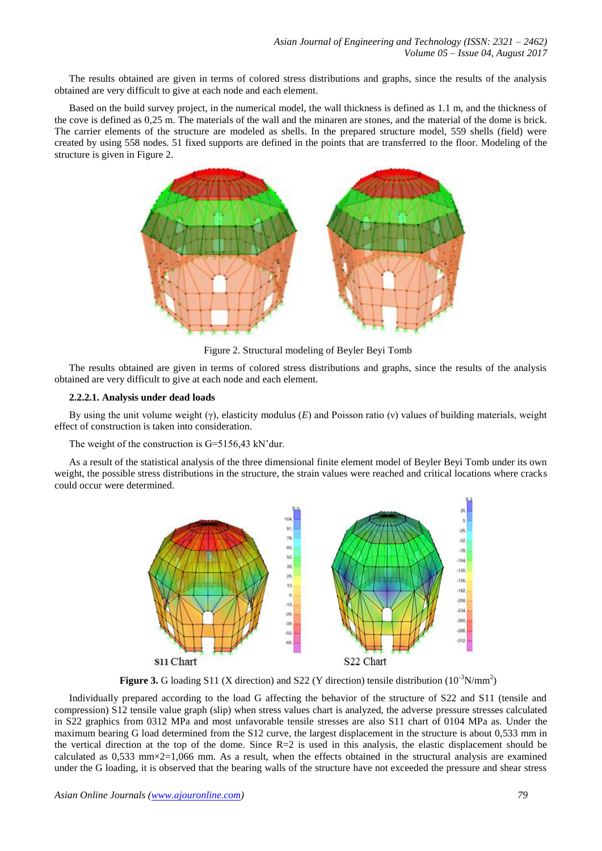The results obtained are given in terms of colored stress distributions and graphs, since the results of the analysis obtained are very difficult to give at each node and each element.

Based on the build survey project, in the numerical model, the wall thickness is defined as 1.1 m, and the thickness of the cove is defined as 0,25 m. The materials of the wall and the minaren are stones, and the material of the dome is brick. The carrier elements of the structure are modeled as shells. In the prepared structure model, 559 shells (field) were created by using 558 nodes. 51 fixed supports are defined in the points that are transferred to the floor. Modeling of the structure is given in Figure 2.



Figure 2. Structural modeling of Beyler Beyi Tomb

The results obtained are given in terms of colored stress distributions and graphs, since the results of the analysis obtained are very difficult to give at each node and each element.

#### **2.2.2.1. Analysis under dead loads**

By using the unit volume weight (γ), elasticity modulus (*E*) and Poisson ratio (ν) values of building materials, weight effect of construction is taken into consideration.

The weight of the construction is G=5156,43 kN'dur.

As a result of the statistical analysis of the three dimensional finite element model of Beyler Beyi Tomb under its own weight, the possible stress distributions in the structure, the strain values were reached and critical locations where cracks could occur were determined.



**Figure 3.** G loading S11 (X direction) and S22 (Y direction) tensile distribution  $(10^{-3}N/mm^2)$ 

Individually prepared according to the load G affecting the behavior of the structure of S22 and S11 (tensile and compression) S12 tensile value graph (slip) when stress values chart is analyzed, the adverse pressure stresses calculated in S22 graphics from 0312 MPa and most unfavorable tensile stresses are also S11 chart of 0104 MPa as. Under the maximum bearing G load determined from the S12 curve, the largest displacement in the structure is about 0,533 mm in the vertical direction at the top of the dome. Since  $R=2$  is used in this analysis, the elastic displacement should be calculated as  $0.533$  mm $\times$ 2=1,066 mm. As a result, when the effects obtained in the structural analysis are examined under the G loading, it is observed that the bearing walls of the structure have not exceeded the pressure and shear stress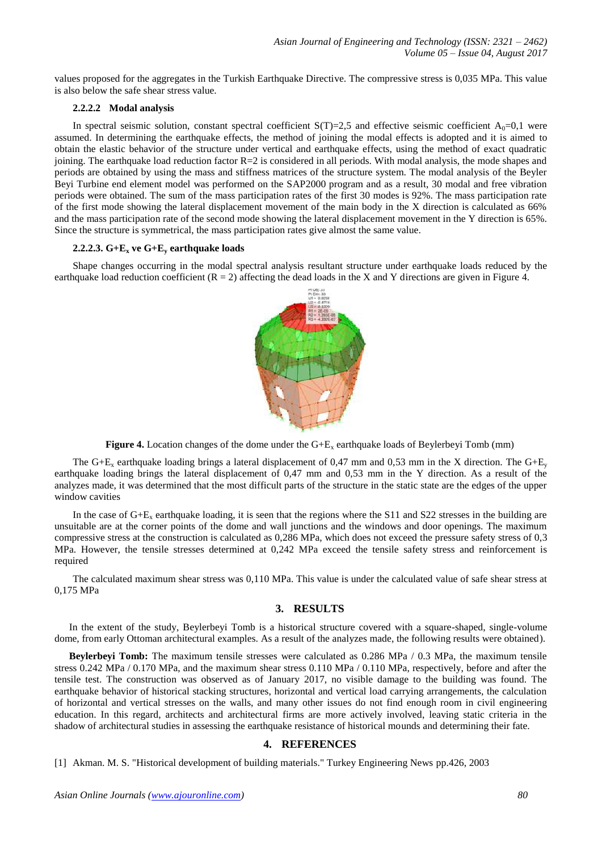values proposed for the aggregates in the Turkish Earthquake Directive. The compressive stress is 0,035 MPa. This value is also below the safe shear stress value.

# **2.2.2.2 Modal analysis**

In spectral seismic solution, constant spectral coefficient  $S(T)=2,5$  and effective seismic coefficient  $A_0=0,1$  were assumed. In determining the earthquake effects, the method of joining the modal effects is adopted and it is aimed to obtain the elastic behavior of the structure under vertical and earthquake effects, using the method of exact quadratic joining. The earthquake load reduction factor R=2 is considered in all periods. With modal analysis, the mode shapes and periods are obtained by using the mass and stiffness matrices of the structure system. The modal analysis of the Beyler Beyi Turbine end element model was performed on the SAP2000 program and as a result, 30 modal and free vibration periods were obtained. The sum of the mass participation rates of the first 30 modes is 92%. The mass participation rate of the first mode showing the lateral displacement movement of the main body in the X direction is calculated as 66% and the mass participation rate of the second mode showing the lateral displacement movement in the Y direction is 65%. Since the structure is symmetrical, the mass participation rates give almost the same value.

### **2.2.2.3. G+E<sup>x</sup> ve G+E<sup>y</sup> earthquake loads**

Shape changes occurring in the modal spectral analysis resultant structure under earthquake loads reduced by the earthquake load reduction coefficient  $(R = 2)$  affecting the dead loads in the X and Y directions are given in Figure 4.



**Figure 4.** Location changes of the dome under the  $G + E_x$  earthquake loads of Beylerbeyi Tomb (mm)

The G+E<sub>x</sub> earthquake loading brings a lateral displacement of 0,47 mm and 0,53 mm in the X direction. The G+E<sub>y</sub> earthquake loading brings the lateral displacement of 0,47 mm and 0,53 mm in the Y direction. As a result of the analyzes made, it was determined that the most difficult parts of the structure in the static state are the edges of the upper window cavities

In the case of  $G+E_x$  earthquake loading, it is seen that the regions where the S11 and S22 stresses in the building are unsuitable are at the corner points of the dome and wall junctions and the windows and door openings. The maximum compressive stress at the construction is calculated as 0,286 MPa, which does not exceed the pressure safety stress of 0,3 MPa. However, the tensile stresses determined at 0,242 MPa exceed the tensile safety stress and reinforcement is required

The calculated maximum shear stress was 0,110 MPa. This value is under the calculated value of safe shear stress at 0,175 MPa

# **3. RESULTS**

In the extent of the study, Beylerbeyi Tomb is a historical structure covered with a square-shaped, single-volume dome, from early Ottoman architectural examples. As a result of the analyzes made, the following results were obtained).

**Beylerbeyi Tomb:** The maximum tensile stresses were calculated as 0.286 MPa / 0.3 MPa, the maximum tensile stress 0.242 MPa / 0.170 MPa, and the maximum shear stress 0.110 MPa / 0.110 MPa, respectively, before and after the tensile test. The construction was observed as of January 2017, no visible damage to the building was found. The earthquake behavior of historical stacking structures, horizontal and vertical load carrying arrangements, the calculation of horizontal and vertical stresses on the walls, and many other issues do not find enough room in civil engineering education. In this regard, architects and architectural firms are more actively involved, leaving static criteria in the shadow of architectural studies in assessing the earthquake resistance of historical mounds and determining their fate.

# **4. REFERENCES**

[1] Akman. M. S. "Historical development of building materials." Turkey Engineering News pp.426, 2003